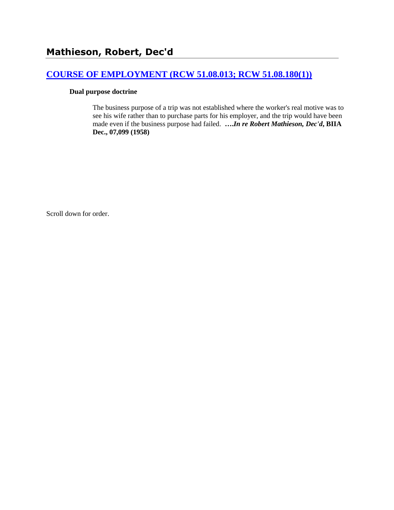# **[COURSE OF EMPLOYMENT \(RCW 51.08.013; RCW 51.08.180\(1\)\)](http://www.biia.wa.gov/SDSubjectIndex.html#COURSE_OF_EMPLOYMENT)**

#### **Dual purpose doctrine**

The business purpose of a trip was not established where the worker's real motive was to see his wife rather than to purchase parts for his employer, and the trip would have been made even if the business purpose had failed. **….***In re Robert Mathieson, Dec'd***, BIIA Dec., 07,099 (1958)** 

Scroll down for order.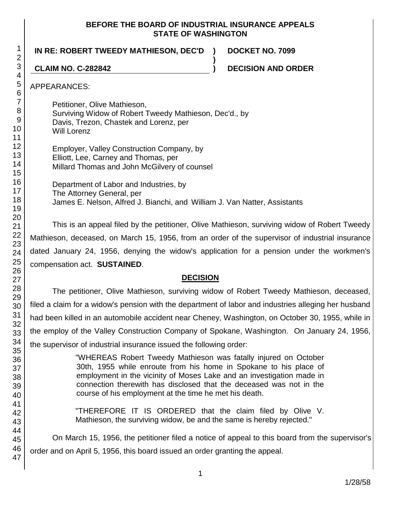#### **BEFORE THE BOARD OF INDUSTRIAL INSURANCE APPEALS STATE OF WASHINGTON**

**)**

**IN RE: ROBERT TWEEDY MATHIESON, DEC'D ) DOCKET NO. 7099**

**CLAIM NO. C-282842 ) DECISION AND ORDER**

APPEARANCES:

Petitioner, Olive Mathieson, Surviving Widow of Robert Tweedy Mathieson, Dec'd., by Davis, Trezon, Chastek and Lorenz, per Will Lorenz

Employer, Valley Construction Company, by Elliott, Lee, Carney and Thomas, per Millard Thomas and John McGilvery of counsel

Department of Labor and Industries, by The Attorney General, per James E. Nelson, Alfred J. Bianchi, and William J. Van Natter, Assistants

This is an appeal filed by the petitioner, Olive Mathieson, surviving widow of Robert Tweedy Mathieson, deceased, on March 15, 1956, from an order of the supervisor of industrial insurance dated January 24, 1956, denying the widow's application for a pension under the workmen's compensation act. **SUSTAINED**.

# **DECISION**

The petitioner, Olive Mathieson, surviving widow of Robert Tweedy Mathieson, deceased, filed a claim for a widow's pension with the department of labor and industries alleging her husband had been killed in an automobile accident near Cheney, Washington, on October 30, 1955, while in the employ of the Valley Construction Company of Spokane, Washington. On January 24, 1956, the supervisor of industrial insurance issued the following order:

> "WHEREAS Robert Tweedy Mathieson was fatally injured on October 30th, 1955 while enroute from his home in Spokane to his place of employment in the vicinity of Moses Lake and an investigation made in connection therewith has disclosed that the deceased was not in the course of his employment at the time he met his death.

> "THEREFORE IT IS ORDERED that the claim filed by Olive V. Mathieson, the surviving widow, be and the same is hereby rejected."

On March 15, 1956, the petitioner filed a notice of appeal to this board from the supervisor's order and on April 5, 1956, this board issued an order granting the appeal.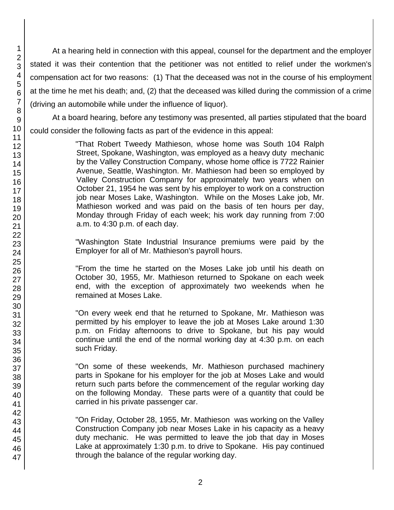At a hearing held in connection with this appeal, counsel for the department and the employer stated it was their contention that the petitioner was not entitled to relief under the workmen's compensation act for two reasons: (1) That the deceased was not in the course of his employment at the time he met his death; and, (2) that the deceased was killed during the commission of a crime (driving an automobile while under the influence of liquor).

At a board hearing, before any testimony was presented, all parties stipulated that the board could consider the following facts as part of the evidence in this appeal:

> "That Robert Tweedy Mathieson, whose home was South 104 Ralph Street, Spokane, Washington, was employed as a heavy duty mechanic by the Valley Construction Company, whose home office is 7722 Rainier Avenue, Seattle, Washington. Mr. Mathieson had been so employed by Valley Construction Company for approximately two years when on October 21, 1954 he was sent by his employer to work on a construction job near Moses Lake, Washington. While on the Moses Lake job, Mr. Mathieson worked and was paid on the basis of ten hours per day, Monday through Friday of each week; his work day running from 7:00 a.m. to 4:30 p.m. of each day.

> "Washington State Industrial Insurance premiums were paid by the Employer for all of Mr. Mathieson's payroll hours.

> "From the time he started on the Moses Lake job until his death on October 30, 1955, Mr. Mathieson returned to Spokane on each week end, with the exception of approximately two weekends when he remained at Moses Lake.

> "On every week end that he returned to Spokane, Mr. Mathieson was permitted by his employer to leave the job at Moses Lake around 1:30 p.m. on Friday afternoons to drive to Spokane, but his pay would continue until the end of the normal working day at 4:30 p.m. on each such Friday.

> "On some of these weekends, Mr. Mathieson purchased machinery parts in Spokane for his employer for the job at Moses Lake and would return such parts before the commencement of the regular working day on the following Monday. These parts were of a quantity that could be carried in his private passenger car.

> "On Friday, October 28, 1955, Mr. Mathieson was working on the Valley Construction Company job near Moses Lake in his capacity as a heavy duty mechanic. He was permitted to leave the job that day in Moses Lake at approximately 1:30 p.m. to drive to Spokane. His pay continued through the balance of the regular working day.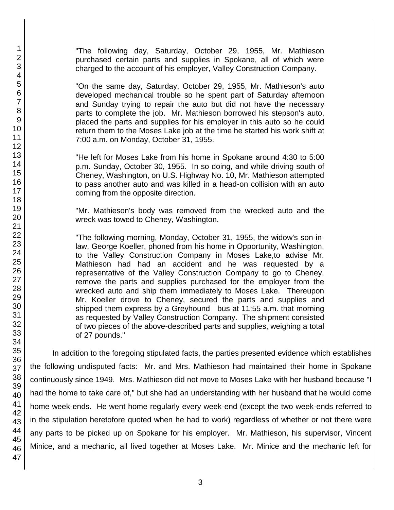42 44 45 developed mechanical trouble so he spent part of Saturday afternoon and Sunday trying to repair the auto but did not have the necessary parts to complete the job. Mr. Mathieson borrowed his stepson's auto, placed the parts and supplies for his employer in this auto so he could return them to the Moses Lake job at the time he started his work shift at 7:00 a.m. on Monday, October 31, 1955. "He left for Moses Lake from his home in Spokane around 4:30 to 5:00 p.m. Sunday, October 30, 1955. In so doing, and while driving south of Cheney, Washington, on U.S. Highway No. 10, Mr. Mathieson attempted to pass another auto and was killed in a head-on collision with an auto coming from the opposite direction. "Mr. Mathieson's body was removed from the wrecked auto and the wreck was towed to Cheney, Washington. "The following morning, Monday, October 31, 1955, the widow's son-inlaw, George Koeller, phoned from his home in Opportunity, Washington, to the Valley Construction Company in Moses Lake,to advise Mr. Mathieson had had an accident and he was requested by a representative of the Valley Construction Company to go to Cheney, remove the parts and supplies purchased for the employer from the wrecked auto and ship them immediately to Moses Lake. Thereupon Mr. Koeller drove to Cheney, secured the parts and supplies and shipped them express by a Greyhound bus at 11:55 a.m. that morning as requested by Valley Construction Company. The shipment consisted of two pieces of the above-described parts and supplies, weighing a total of 27 pounds." In addition to the foregoing stipulated facts, the parties presented evidence which establishes the following undisputed facts: Mr. and Mrs. Mathieson had maintained their home in Spokane continuously since 1949. Mrs. Mathieson did not move to Moses Lake with her husband because "I had the home to take care of," but she had an understanding with her husband that he would come home week-ends. He went home regularly every week-end (except the two week-ends referred to in the stipulation heretofore quoted when he had to work) regardless of whether or not there were any parts to be picked up on Spokane for his employer. Mr. Mathieson, his supervisor, Vincent Minice, and a mechanic, all lived together at Moses Lake. Mr. Minice and the mechanic left for

"The following day, Saturday, October 29, 1955, Mr. Mathieson purchased certain parts and supplies in Spokane, all of which were charged to the account of his employer, Valley Construction Company.

"On the same day, Saturday, October 29, 1955, Mr. Mathieson's auto

43

46 47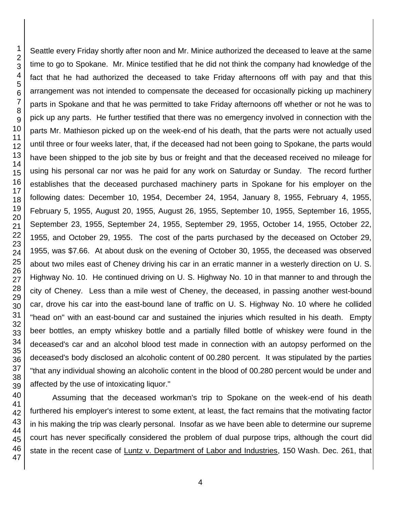Seattle every Friday shortly after noon and Mr. Minice authorized the deceased to leave at the same time to go to Spokane. Mr. Minice testified that he did not think the company had knowledge of the fact that he had authorized the deceased to take Friday afternoons off with pay and that this arrangement was not intended to compensate the deceased for occasionally picking up machinery parts in Spokane and that he was permitted to take Friday afternoons off whether or not he was to pick up any parts. He further testified that there was no emergency involved in connection with the parts Mr. Mathieson picked up on the week-end of his death, that the parts were not actually used until three or four weeks later, that, if the deceased had not been going to Spokane, the parts would have been shipped to the job site by bus or freight and that the deceased received no mileage for using his personal car nor was he paid for any work on Saturday or Sunday. The record further establishes that the deceased purchased machinery parts in Spokane for his employer on the following dates: December 10, 1954, December 24, 1954, January 8, 1955, February 4, 1955, February 5, 1955, August 20, 1955, August 26, 1955, September 10, 1955, September 16, 1955, September 23, 1955, September 24, 1955, September 29, 1955, October 14, 1955, October 22, 1955, and October 29, 1955. The cost of the parts purchased by the deceased on October 29, 1955, was \$7.66. At about dusk on the evening of October 30, 1955, the deceased was observed about two miles east of Cheney driving his car in an erratic manner in a westerly direction on U. S. Highway No. 10. He continued driving on U. S. Highway No. 10 in that manner to and through the city of Cheney. Less than a mile west of Cheney, the deceased, in passing another west-bound car, drove his car into the east-bound lane of traffic on U. S. Highway No. 10 where he collided "head on" with an east-bound car and sustained the injuries which resulted in his death. Empty beer bottles, an empty whiskey bottle and a partially filled bottle of whiskey were found in the deceased's car and an alcohol blood test made in connection with an autopsy performed on the deceased's body disclosed an alcoholic content of 00.280 percent. It was stipulated by the parties "that any individual showing an alcoholic content in the blood of 00.280 percent would be under and affected by the use of intoxicating liquor."

Assuming that the deceased workman's trip to Spokane on the week-end of his death furthered his employer's interest to some extent, at least, the fact remains that the motivating factor in his making the trip was clearly personal. Insofar as we have been able to determine our supreme court has never specifically considered the problem of dual purpose trips, although the court did state in the recent case of Luntz v. Department of Labor and Industries, 150 Wash. Dec. 261, that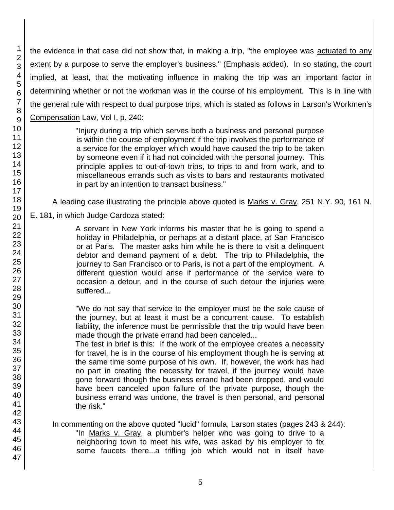the evidence in that case did not show that, in making a trip, "the employee was actuated to any extent by a purpose to serve the employer's business." (Emphasis added). In so stating, the court implied, at least, that the motivating influence in making the trip was an important factor in determining whether or not the workman was in the course of his employment. This is in line with the general rule with respect to dual purpose trips, which is stated as follows in Larson's Workmen's Compensation Law, Vol I, p. 240:

> "Injury during a trip which serves both a business and personal purpose is within the course of employment if the trip involves the performance of a service for the employer which would have caused the trip to be taken by someone even if it had not coincided with the personal journey. This principle applies to out-of-town trips, to trips to and from work, and to miscellaneous errands such as visits to bars and restaurants motivated in part by an intention to transact business."

A leading case illustrating the principle above quoted is Marks v. Gray, 251 N.Y. 90, 161 N.

E. 181, in which Judge Cardoza stated:

A servant in New York informs his master that he is going to spend a holiday in Philadelphia, or perhaps at a distant place, at San Francisco or at Paris. The master asks him while he is there to visit a delinquent debtor and demand payment of a debt. The trip to Philadelphia, the journey to San Francisco or to Paris, is not a part of the employment. A different question would arise if performance of the service were to occasion a detour, and in the course of such detour the injuries were suffered...

"We do not say that service to the employer must be the sole cause of the journey, but at least it must be a concurrent cause. To establish liability, the inference must be permissible that the trip would have been made though the private errand had been canceled...

The test in brief is this: If the work of the employee creates a necessity for travel, he is in the course of his employment though he is serving at the same time some purpose of his own. If, however, the work has had no part in creating the necessity for travel, if the journey would have gone forward though the business errand had been dropped, and would have been canceled upon failure of the private purpose, though the business errand was undone, the travel is then personal, and personal the risk."

In commenting on the above quoted "lucid" formula, Larson states (pages 243 & 244): "In Marks v. Gray, a plumber's helper who was going to drive to a neighboring town to meet his wife, was asked by his employer to fix some faucets there...a trifling job which would not in itself have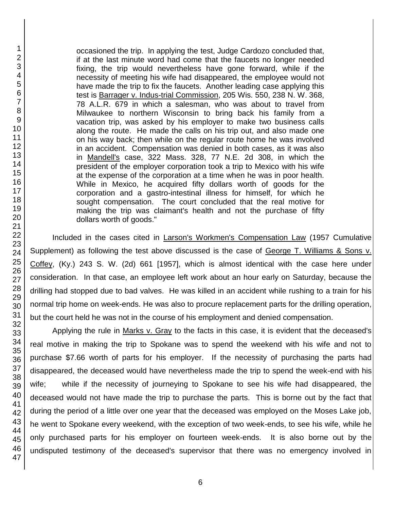occasioned the trip. In applying the test, Judge Cardozo concluded that, if at the last minute word had come that the faucets no longer needed fixing, the trip would nevertheless have gone forward, while if the necessity of meeting his wife had disappeared, the employee would not have made the trip to fix the faucets. Another leading case applying this test is Barrager v. Indus-trial Commission, 205 Wis. 550, 238 N. W. 368, 78 A.L.R. 679 in which a salesman, who was about to travel from Milwaukee to northern Wisconsin to bring back his family from a vacation trip, was asked by his employer to make two business calls along the route. He made the calls on his trip out, and also made one on his way back; then while on the regular route home he was involved in an accident. Compensation was denied in both cases, as it was also in Mandell's case, 322 Mass. 328, 77 N.E. 2d 308, in which the president of the employer corporation took a trip to Mexico with his wife at the expense of the corporation at a time when he was in poor health. While in Mexico, he acquired fifty dollars worth of goods for the corporation and a gastro-intestinal illness for himself, for which he sought compensation. The court concluded that the real motive for making the trip was claimant's health and not the purchase of fifty dollars worth of goods."

Included in the cases cited in Larson's Workmen's Compensation Law (1957 Cumulative Supplement) as following the test above discussed is the case of George T. Williams & Sons v. Coffey, (Ky.) 243 S. W. (2d) 661 [1957], which is almost identical with the case here under consideration. In that case, an employee left work about an hour early on Saturday, because the drilling had stopped due to bad valves. He was killed in an accident while rushing to a train for his normal trip home on week-ends. He was also to procure replacement parts for the drilling operation, but the court held he was not in the course of his employment and denied compensation.

Applying the rule in Marks v. Gray to the facts in this case, it is evident that the deceased's real motive in making the trip to Spokane was to spend the weekend with his wife and not to purchase \$7.66 worth of parts for his employer. If the necessity of purchasing the parts had disappeared, the deceased would have nevertheless made the trip to spend the week-end with his wife; while if the necessity of journeying to Spokane to see his wife had disappeared, the deceased would not have made the trip to purchase the parts. This is borne out by the fact that during the period of a little over one year that the deceased was employed on the Moses Lake job, he went to Spokane every weekend, with the exception of two week-ends, to see his wife, while he only purchased parts for his employer on fourteen week-ends. It is also borne out by the undisputed testimony of the deceased's supervisor that there was no emergency involved in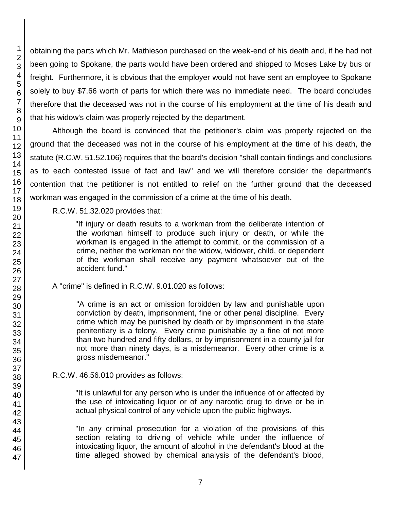obtaining the parts which Mr. Mathieson purchased on the week-end of his death and, if he had not been going to Spokane, the parts would have been ordered and shipped to Moses Lake by bus or freight. Furthermore, it is obvious that the employer would not have sent an employee to Spokane solely to buy \$7.66 worth of parts for which there was no immediate need. The board concludes therefore that the deceased was not in the course of his employment at the time of his death and that his widow's claim was properly rejected by the department.

Although the board is convinced that the petitioner's claim was properly rejected on the ground that the deceased was not in the course of his employment at the time of his death, the statute (R.C.W. 51.52.106) requires that the board's decision "shall contain findings and conclusions as to each contested issue of fact and law" and we will therefore consider the department's contention that the petitioner is not entitled to relief on the further ground that the deceased workman was engaged in the commission of a crime at the time of his death.

R.C.W. 51.32.020 provides that:

"If injury or death results to a workman from the deliberate intention of the workman himself to produce such injury or death, or while the workman is engaged in the attempt to commit, or the commission of a crime, neither the workman nor the widow, widower, child, or dependent of the workman shall receive any payment whatsoever out of the accident fund."

A "crime" is defined in R.C.W. 9.01.020 as follows:

"A crime is an act or omission forbidden by law and punishable upon conviction by death, imprisonment, fine or other penal discipline. Every crime which may be punished by death or by imprisonment in the state penitentiary is a felony. Every crime punishable by a fine of not more than two hundred and fifty dollars, or by imprisonment in a county jail for not more than ninety days, is a misdemeanor. Every other crime is a gross misdemeanor."

# R.C.W. 46.56.010 provides as follows:

"It is unlawful for any person who is under the influence of or affected by the use of intoxicating liquor or of any narcotic drug to drive or be in actual physical control of any vehicle upon the public highways.

"In any criminal prosecution for a violation of the provisions of this section relating to driving of vehicle while under the influence of intoxicating liquor, the amount of alcohol in the defendant's blood at the time alleged showed by chemical analysis of the defendant's blood,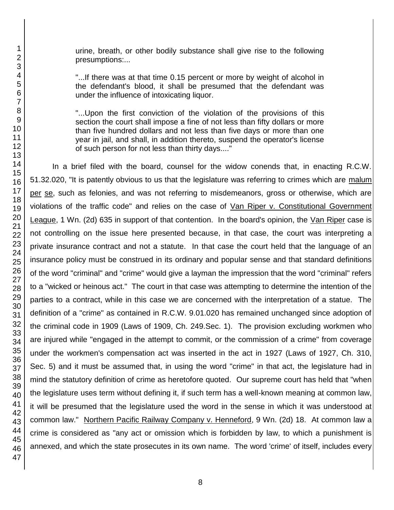urine, breath, or other bodily substance shall give rise to the following presumptions:...

"...If there was at that time 0.15 percent or more by weight of alcohol in the defendant's blood, it shall be presumed that the defendant was under the influence of intoxicating liquor.

"...Upon the first conviction of the violation of the provisions of this section the court shall impose a fine of not less than fifty dollars or more than five hundred dollars and not less than five days or more than one year in jail, and shall, in addition thereto, suspend the operator's license of such person for not less than thirty days...."

In a brief filed with the board, counsel for the widow conends that, in enacting R.C.W. 51.32.020, "It is patently obvious to us that the legislature was referring to crimes which are malum per se, such as felonies, and was not referring to misdemeanors, gross or otherwise, which are violations of the traffic code" and relies on the case of Van Riper v. Constitutional Government League, 1 Wn. (2d) 635 in support of that contention. In the board's opinion, the Van Riper case is not controlling on the issue here presented because, in that case, the court was interpreting a private insurance contract and not a statute. In that case the court held that the language of an insurance policy must be construed in its ordinary and popular sense and that standard definitions of the word "criminal" and "crime" would give a layman the impression that the word "criminal" refers to a "wicked or heinous act." The court in that case was attempting to determine the intention of the parties to a contract, while in this case we are concerned with the interpretation of a statue. The definition of a "crime" as contained in R.C.W. 9.01.020 has remained unchanged since adoption of the criminal code in 1909 (Laws of 1909, Ch. 249.Sec. 1). The provision excluding workmen who are injured while "engaged in the attempt to commit, or the commission of a crime" from coverage under the workmen's compensation act was inserted in the act in 1927 (Laws of 1927, Ch. 310, Sec. 5) and it must be assumed that, in using the word "crime" in that act, the legislature had in mind the statutory definition of crime as heretofore quoted. Our supreme court has held that "when the legislature uses term without defining it, if such term has a well-known meaning at common law, it will be presumed that the legislature used the word in the sense in which it was understood at common law." Northern Pacific Railway Company v. Henneford, 9 Wn. (2d) 18. At common law a crime is considered as "any act or omission which is forbidden by law, to which a punishment is annexed, and which the state prosecutes in its own name. The word 'crime' of itself, includes every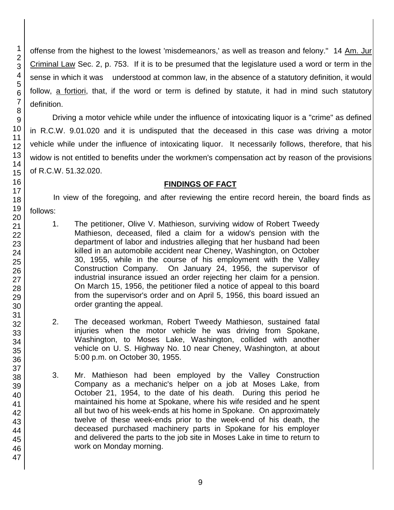offense from the highest to the lowest 'misdemeanors,' as well as treason and felony." 14 Am. Jur Criminal Law Sec. 2, p. 753. If it is to be presumed that the legislature used a word or term in the sense in which it was understood at common law, in the absence of a statutory definition, it would follow, a fortiori, that, if the word or term is defined by statute, it had in mind such statutory definition.

Driving a motor vehicle while under the influence of intoxicating liquor is a "crime" as defined in R.C.W. 9.01.020 and it is undisputed that the deceased in this case was driving a motor vehicle while under the influence of intoxicating liquor. It necessarily follows, therefore, that his widow is not entitled to benefits under the workmen's compensation act by reason of the provisions of R.C.W. 51.32.020.

## **FINDINGS OF FACT**

In view of the foregoing, and after reviewing the entire record herein, the board finds as follows:

- 1. The petitioner, Olive V. Mathieson, surviving widow of Robert Tweedy Mathieson, deceased, filed a claim for a widow's pension with the department of labor and industries alleging that her husband had been killed in an automobile accident near Cheney, Washington, on October 30, 1955, while in the course of his employment with the Valley Construction Company. On January 24, 1956, the supervisor of industrial insurance issued an order rejecting her claim for a pension. On March 15, 1956, the petitioner filed a notice of appeal to this board from the supervisor's order and on April 5, 1956, this board issued an order granting the appeal.
- 2. The deceased workman, Robert Tweedy Mathieson, sustained fatal injuries when the motor vehicle he was driving from Spokane, Washington, to Moses Lake, Washington, collided with another vehicle on U. S. Highway No. 10 near Cheney, Washington, at about 5:00 p.m. on October 30, 1955.
- 3. Mr. Mathieson had been employed by the Valley Construction Company as a mechanic's helper on a job at Moses Lake, from October 21, 1954, to the date of his death. During this period he maintained his home at Spokane, where his wife resided and he spent all but two of his week-ends at his home in Spokane. On approximately twelve of these week-ends prior to the week-end of his death, the deceased purchased machinery parts in Spokane for his employer and delivered the parts to the job site in Moses Lake in time to return to work on Monday morning.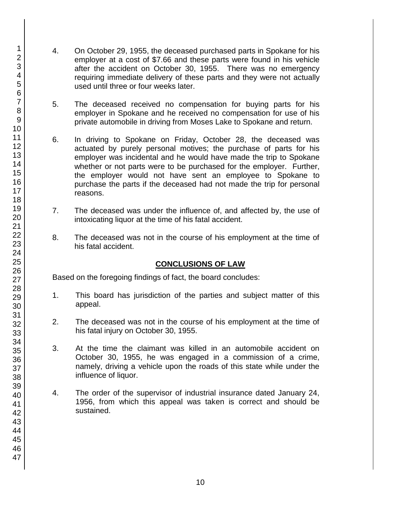- 4. On October 29, 1955, the deceased purchased parts in Spokane for his employer at a cost of \$7.66 and these parts were found in his vehicle after the accident on October 30, 1955. There was no emergency requiring immediate delivery of these parts and they were not actually used until three or four weeks later.
- 5. The deceased received no compensation for buying parts for his employer in Spokane and he received no compensation for use of his private automobile in driving from Moses Lake to Spokane and return.
- 6. In driving to Spokane on Friday, October 28, the deceased was actuated by purely personal motives; the purchase of parts for his employer was incidental and he would have made the trip to Spokane whether or not parts were to be purchased for the employer. Further, the employer would not have sent an employee to Spokane to purchase the parts if the deceased had not made the trip for personal reasons.
- 7. The deceased was under the influence of, and affected by, the use of intoxicating liquor at the time of his fatal accident.
- 8. The deceased was not in the course of his employment at the time of his fatal accident.

## **CONCLUSIONS OF LAW**

Based on the foregoing findings of fact, the board concludes:

- 1. This board has jurisdiction of the parties and subject matter of this appeal.
- 2. The deceased was not in the course of his employment at the time of his fatal injury on October 30, 1955.
- 3. At the time the claimant was killed in an automobile accident on October 30, 1955, he was engaged in a commission of a crime, namely, driving a vehicle upon the roads of this state while under the influence of liquor.
- 4. The order of the supervisor of industrial insurance dated January 24, 1956, from which this appeal was taken is correct and should be sustained.